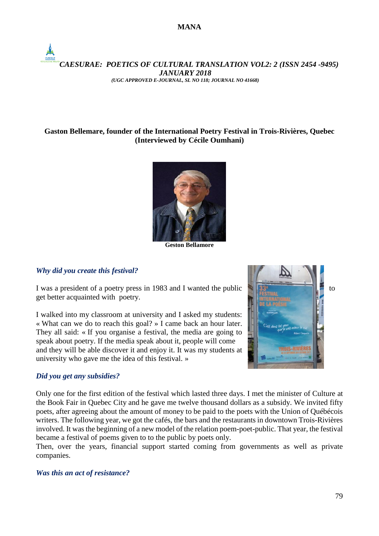# *CAESURAE: POETICS OF CULTURAL TRANSLATION VOL2: 2 (ISSN 2454 -9495) JANUARY 2018 (UGC APPROVED E-JOURNAL, SL NO 118; JOURNAL NO 41668)*

# **Gaston Bellemare, founder of the International Poetry Festival in Trois-Rivières, Quebec (Interviewed by Cécile Oumhani)**



**Geston Bellamore**

# *Why did you create this festival?*

I was a president of a poetry press in 1983 and I wanted the public  $\frac{1}{2}$ get better acquainted with poetry.

I walked into my classroom at university and I asked my students: « What can we do to reach this goal? » I came back an hour later. They all said: « If you organise a festival, the media are going to speak about poetry. If the media speak about it, people will come and they will be able discover it and enjoy it. It was my students at university who gave me the idea of this festival. »

## *Did you get any subsidies?*

Only one for the first edition of the festival which lasted three days. I met the minister of Culture at the Book Fair in Quebec City and he gave me twelve thousand dollars as a subsidy. We invited fifty poets, after agreeing about the amount of money to be paid to the poets with the Union of Québécois writers. The following year, we got the cafés, the bars and the restaurants in downtown Trois-Rivières involved. It was the beginning of a new model of the relation poem-poet-public. That year, the festival became a festival of poems given to to the public by poets only.

Then, over the years, financial support started coming from governments as well as private companies.

#### *Was this an act of resistance?*

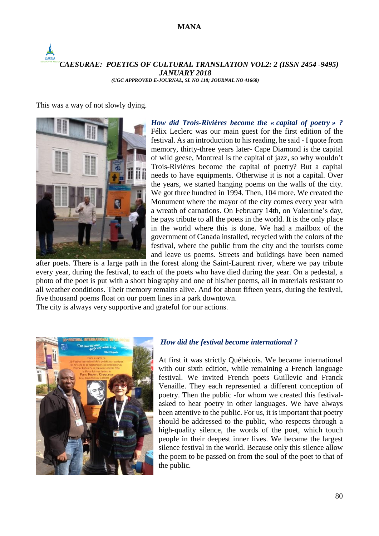# **MANA**

#### *CAESURAE: POETICS OF CULTURAL TRANSLATION VOL2: 2 (ISSN 2454 -9495) JANUARY 2018 (UGC APPROVED E-JOURNAL, SL NO 118; JOURNAL NO 41668)*

This was a way of not slowly dying.



*How did Trois-Rivières become the « capital of poetry » ?* Félix Leclerc was our main guest for the first edition of the festival. As an introduction to his reading, he said - I quote from memory, thirty-three years later- Cape Diamond is the capital of wild geese, Montreal is the capital of jazz, so why wouldn't Trois-Rivières become the capital of poetry? But a capital needs to have equipments. Otherwise it is not a capital. Over the years, we started hanging poems on the walls of the city. We got three hundred in 1994. Then, 104 more. We created the Monument where the mayor of the city comes every year with a wreath of carnations. On February 14th, on Valentine's day, he pays tribute to all the poets in the world. It is the only place in the world where this is done. We had a mailbox of the government of Canada installed, recycled with the colors of the festival, where the public from the city and the tourists come and leave us poems. Streets and buildings have been named

after poets. There is a large path in the forest along the Saint-Laurent river, where we pay tribute every year, during the festival, to each of the poets who have died during the year. On a pedestal, a photo of the poet is put with a short biography and one of his/her poems, all in materials resistant to all weather conditions. Their memory remains alive. And for about fifteen years, during the festival, five thousand poems float on our poem lines in a park downtown.

The city is always very supportive and grateful for our actions.



#### *How did the festival become international ?*

At first it was strictly Québécois. We became international with our sixth edition, while remaining a French language festival. We invited French poets Guillevic and Franck Venaille. They each represented a different conception of poetry. Then the public -for whom we created this festivalasked to hear poetry in other languages. We have always been attentive to the public. For us, it is important that poetry should be addressed to the public, who respects through a high-quality silence, the words of the poet, which touch people in their deepest inner lives. We became the largest silence festival in the world. Because only this silence allow the poem to be passed on from the soul of the poet to that of the public.